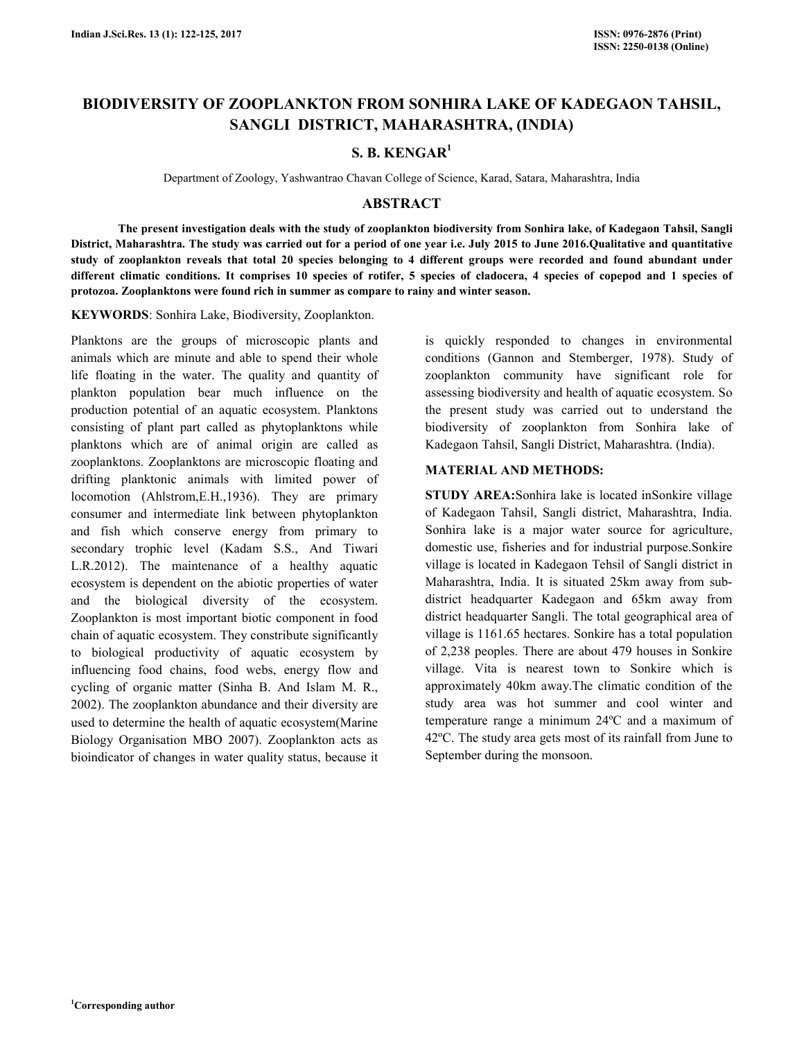# **BIODIVERSITY OF ZOOPLANKTON FROM SONHIRA LAKE OF KADEGAON TAHSIL, SANGLI DISTRICT, MAHARASHTRA, (INDIA)**

## **S. B. KENGAR<sup>1</sup>**

Department of Zoology, Yashwantrao Chavan College of Science, Karad, Satara, Maharashtra, India

## **ABSTRACT**

 **The present investigation deals with the study of zooplankton biodiversity from Sonhira lake, of Kadegaon Tahsil, Sangli District, Maharashtra. The study was carried out for a period of one year i.e. July 2015 to June 2016.Qualitative and quantitative study of zooplankton reveals that total 20 species belonging to 4 different groups were recorded and found abundant under**  different climatic conditions. It comprises 10 species of rotifer, 5 species of cladocera, 4 species of copepod and 1 species of **protozoa. Zooplanktons were found rich in summer as compare to rainy and winter season.** 

**KEYWORDS**: Sonhira Lake, Biodiversity, Zooplankton.

Planktons are the groups of microscopic plants and animals which are minute and able to spend their whole life floating in the water. The quality and quantity of plankton population bear much influence on the production potential of an aquatic ecosystem. Planktons consisting of plant part called as phytoplanktons while planktons which are of animal origin are called as zooplanktons. Zooplanktons are microscopic floating and drifting planktonic animals with limited power of locomotion (Ahlstrom,E.H.,1936). They are primary consumer and intermediate link between phytoplankton and fish which conserve energy from primary to secondary trophic level (Kadam S.S., And Tiwari L.R.2012). The maintenance of a healthy aquatic ecosystem is dependent on the abiotic properties of water and the biological diversity of the ecosystem. Zooplankton is most important biotic component in food chain of aquatic ecosystem. They constribute significantly to biological productivity of aquatic ecosystem by influencing food chains, food webs, energy flow and cycling of organic matter (Sinha B. And Islam M. R., 2002). The zooplankton abundance and their diversity are used to determine the health of aquatic ecosystem(Marine Biology Organisation MBO 2007). Zooplankton acts as bioindicator of changes in water quality status, because it

is quickly responded to changes in environmental conditions (Gannon and Stemberger, 1978). Study of zooplankton community have significant role for assessing biodiversity and health of aquatic ecosystem. So the present study was carried out to understand the biodiversity of zooplankton from Sonhira lake of Kadegaon Tahsil, Sangli District, Maharashtra. (India).

### **MATERIAL AND METHODS:**

**STUDY AREA:**Sonhira lake is located inSonkire village of Kadegaon Tahsil, Sangli district, Maharashtra, India. Sonhira lake is a major water source for agriculture, domestic use, fisheries and for industrial purpose.Sonkire village is located in Kadegaon Tehsil of Sangli district in Maharashtra, India. It is situated 25km away from subdistrict headquarter Kadegaon and 65km away from district headquarter Sangli. The total geographical area of village is 1161.65 hectares. Sonkire has a total population of 2,238 peoples. There are about 479 houses in Sonkire village. Vita is nearest town to Sonkire which is approximately 40km away.The climatic condition of the study area was hot summer and cool winter and temperature range a minimum 24ºC and a maximum of 42ºC. The study area gets most of its rainfall from June to September during the monsoon.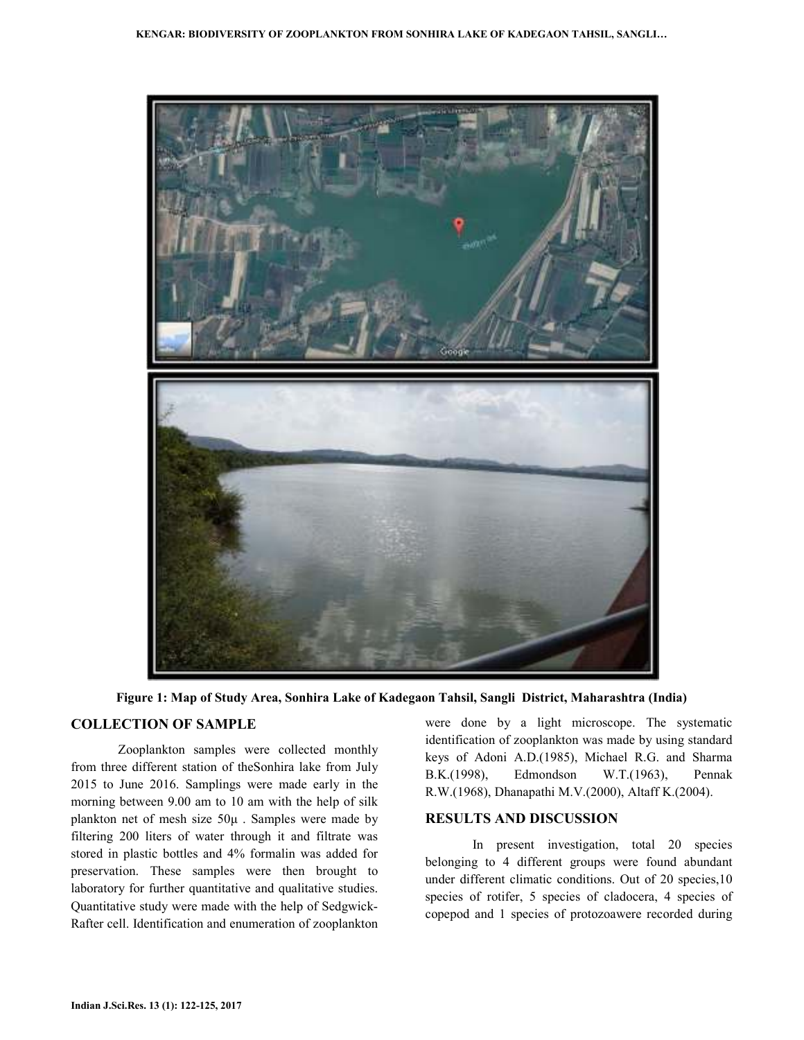



## **COLLECTION OF SAMPLE**

Zooplankton samples were collected monthly from three different station of theSonhira lake from July 2015 to June 2016. Samplings were made early in the morning between 9.00 am to 10 am with the help of silk plankton net of mesh size 50µ . Samples were made by filtering 200 liters of water through it and filtrate was stored in plastic bottles and 4% formalin was added for preservation. These samples were then brought to laboratory for further quantitative and qualitative studies. Quantitative study were made with the help of Sedgwick-Rafter cell. Identification and enumeration of zooplankton

were done by a light microscope. The systematic identification of zooplankton was made by using standard keys of Adoni A.D.(1985), Michael R.G. and Sharma B.K.(1998), Edmondson W.T.(1963), Pennak R.W.(1968), Dhanapathi M.V.(2000), Altaff K.(2004).

#### **RESULTS AND DISCUSSION**

In present investigation, total 20 species belonging to 4 different groups were found abundant under different climatic conditions. Out of 20 species,10 species of rotifer, 5 species of cladocera, 4 species of copepod and 1 species of protozoawere recorded during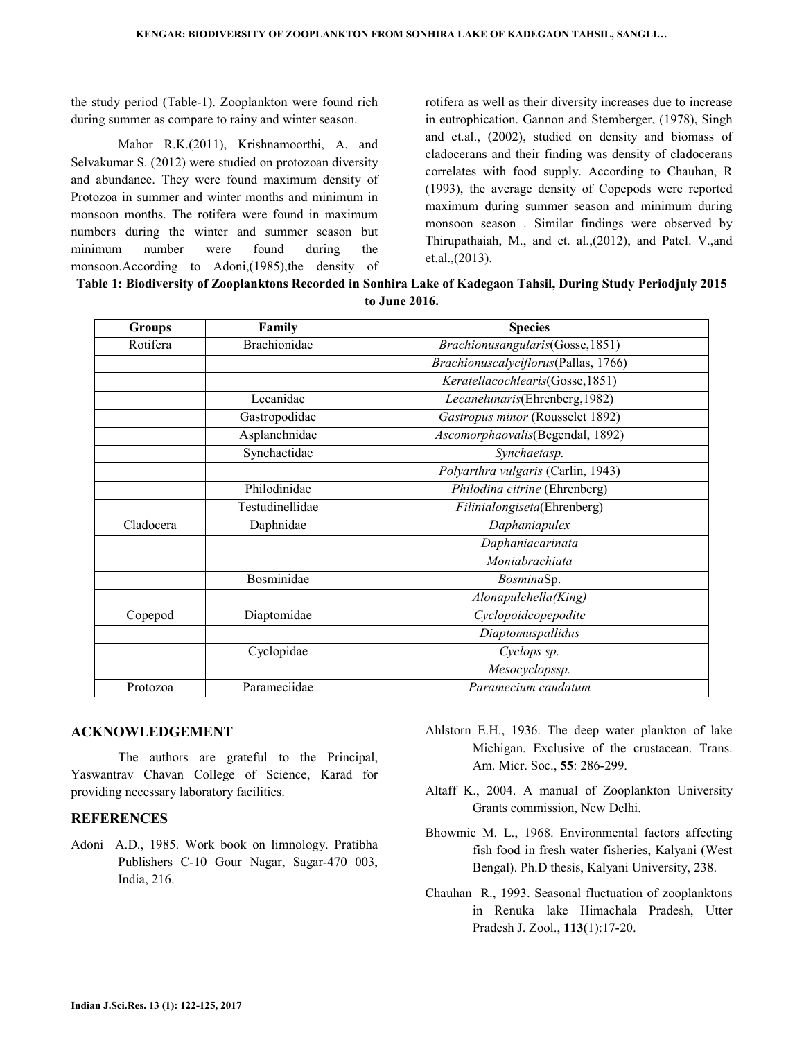the study period (Table-1). Zooplankton were found rich during summer as compare to rainy and winter season.

Mahor R.K.(2011), Krishnamoorthi, A. and Selvakumar S. (2012) were studied on protozoan diversity and abundance. They were found maximum density of Protozoa in summer and winter months and minimum in monsoon months. The rotifera were found in maximum numbers during the winter and summer season but minimum number were found during the monsoon.According to Adoni,(1985),the density of rotifera as well as their diversity increases due to increase in eutrophication. Gannon and Stemberger, (1978), Singh and et.al., (2002), studied on density and biomass of cladocerans and their finding was density of cladocerans correlates with food supply. According to Chauhan, R (1993), the average density of Copepods were reported maximum during summer season and minimum during monsoon season . Similar findings were observed by Thirupathaiah, M., and et. al.,(2012), and Patel. V.,and et.al.,(2013).

| Groups    | Family              | <b>Species</b>                       |
|-----------|---------------------|--------------------------------------|
| Rotifera  | <b>Brachionidae</b> | Brachionusangularis(Gosse, 1851)     |
|           |                     | Brachionuscalyciflorus(Pallas, 1766) |
|           |                     | Keratellacochlearis(Gosse, 1851)     |
|           | Lecanidae           | Lecanelunaris(Ehrenberg, 1982)       |
|           | Gastropodidae       | Gastropus minor (Rousselet 1892)     |
|           | Asplanchnidae       | Ascomorphaovalis(Begendal, 1892)     |
|           | Synchaetidae        | Synchaetasp.                         |
|           |                     | Polyarthra vulgaris (Carlin, 1943)   |
|           | Philodinidae        | Philodina citrine (Ehrenberg)        |
|           | Testudinellidae     | Filinialongiseta(Ehrenberg)          |
| Cladocera | Daphnidae           | Daphaniapulex                        |
|           |                     | Daphaniacarinata                     |
|           |                     | Moniabrachiata                       |
|           | Bosminidae          | BosminaSp.                           |
|           |                     | Alonapulchella(King)                 |
| Copepod   | Diaptomidae         | Cyclopoidcopepodite                  |
|           |                     | Diaptomuspallidus                    |

Cyclopidae *Cyclops sp.* 

Protozoa Parameciidae *Paramecium caudatum* 

**Table 1: Biodiversity of Zooplanktons Recorded in Sonhira Lake of Kadegaon Tahsil, During Study Periodjuly 2015 2016** 

#### **ACKNOWLEDGEMENT**

 The authors are grateful to the Principal, Yaswantrav Chavan College of Science, Karad for providing necessary laboratory facilities.

#### **REFERENCES**

- Adoni A.D., 1985. Work book on limnology. Pratibha Publishers C-10 Gour Nagar, Sagar-470 003, India, 216.
- Ahlstorn E.H., 1936. The deep water plankton of lake Michigan. Exclusive of the crustacean. Trans. Am. Micr. Soc., **55**: 286-299.

*Mesocyclopssp.* 

- Altaff K., 2004. A manual of Zooplankton University Grants commission, New Delhi.
- Bhowmic M. L., 1968. Environmental factors affecting fish food in fresh water fisheries, Kalyani (West Bengal). Ph.D thesis, Kalyani University, 238.
- Chauhan R., 1993. Seasonal fluctuation of zooplanktons in Renuka lake Himachala Pradesh, Utter Pradesh J. Zool., **113**(1):17-20.